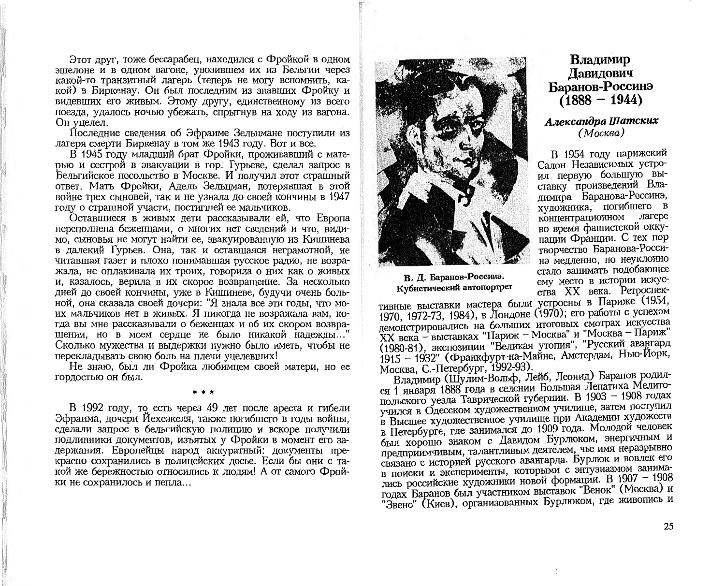Этот друг, тоже бессарабец, находился с Фройкой в одном эпиелоне и в одном вагоне, увозившем их из Бельгии через какой-то транзитный лагерь (теперь не могу вспомнить, какой) в Биркенау. Он был последним из знавших Фройку и видевших его живым. Этому другу, единственному из всего поезда, удалось ночью убежать, спрыгнув на ходу из вагона. Он уцелел.

Последние сведения об Эфраиме Зельцмане поступили из лагеря смерти Биркенау в том же 1943 году. Вот и все.

В 1945 году младший брат Фройки, проживавший с матерью и сестрой в эвакуации в гор. Гурьеве, сделал запрос в Бельгийское посольство в Москве. И получил этот страшный ответ. Мать Фройки. Адель Зельцман. потерявшая в этой войне трех сыновей, так и не узнала до своей кончины в 1947 году о страшной участи, постигшей ее мальчиков.

Оставшиеся в живых дети рассказывали ей, что Европа переполнена беженцами, о многих нет сведений и что, видимо. сыновья не могут найти ее, эвакуированную из Кишинева в далекий Гурьев. Она, так и оставшаяся неграмотной, не читавшая газет и плохо понимавшая русское радио, не возражала, не оплакивала их троих, говорила о них как о живых и, казалось, верила в их скорое возвращение. За несколько дней до своей кончины, уже в Кишиневе, будучи очень больной, она сказала своей дочери: "Я знала все эти годы, что моих мальчиков нет в живых. Я никогда не возражала вам, когда вы мне рассказывали о беженцах и об их скором возвращении, но в моем сердце не было никакой надежды..." Сколько мужества и выдержки нужно было иметь, чтобы не перекладывать свою боль на плечи уцелевших!

Не знаю, был ли Фройка любимцем своей матери, но ее гордостью он был.

В 1992 году, то есть через 49 лет после ареста и гибели Эфраима, дочери Йехезкеля, также погибшего в годы войны, сделали запрос в бельгийскую полицию и вскоре получили подлинники документов, изъятых у Фройки в момент его задержания. Европейцы народ аккуратный: документы прекрасно сохранились в полицейских досье. Если бы они с такой же бережностью относились к людям! А от самого Фройки не сохранилось и пепла...



В. Д. Баранов-Россинэ. Кубистический автопортрет

тивные выставки мастера были устроены в Париже (1954, 1970, 1972-73, 1984), в Лондоне (1970); его работы с успехом демонстрировались на больших итоговых смотрах искусства ХХ века - выставках "Париж - Москва" и "Москва - Париж" (1980-81), экспозиции "Великая утопия", "Русский авангард 1915 - 1932" (Франкфурт-на-Майне, Амстердам, Нью-Йорк, Москва, С.-Петербург, 1992-93).

Владимир (Шулим-Вольф, Лейб, Леонид) Баранов родился 1 января 1888 года в селении Большая Лепатиха Мелитопольского уезда Таврической губернии. В 1903 - 1908 годах учился в Одесском художественном училище, затем поступил в Высшее художественное училище при Академии художеств в Петербурге, где занимался до 1909 года. Молодой человек был хорошо знаком с Давидом Бурлюком, энергичным и предприимчивым, талантливым деятелем, чье имя неразрывно связано с историей русского авангарда. Бурлюк и вовлек его в поиски и эксперименты, которыми с энтузиазмом занимались российские художники новой формации. В 1907 - 1908 годах Баранов был участником выставок "Венок" (Москва) и "Звено" (Киев), организованных Бурлюком, где живопись и

Владимир Лавидович Баранов-Россинэ  $(1888 - 1944)$ 

#### Александра Шатских (Москва)

В 1954 году парижский Салон Независимых устроил первую большую выставку произведений Владимира Баранова-Россинэ, художника, погибшего в концентрационном лагере во время фашистской оккупации Франции. С тех пор творчество Баранова-Россинэ медленно, но неуклонно стало занимать подобающее ему место в истории искусства XX века. Ретроспек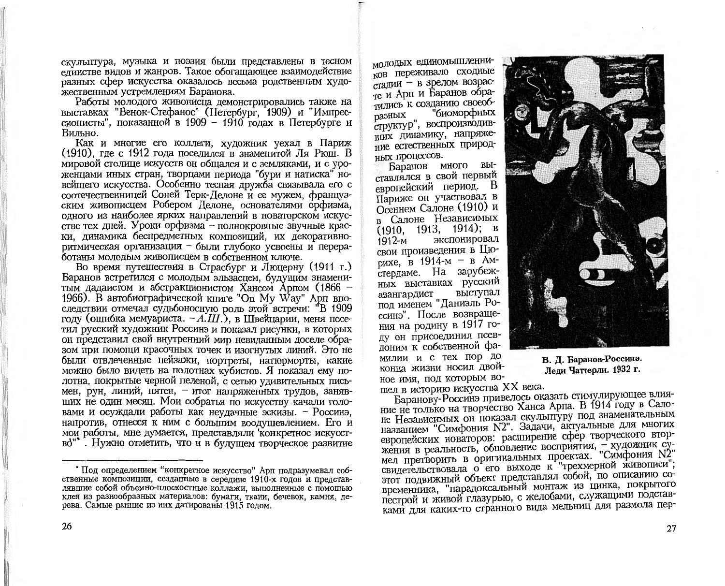скульптура, музыка и поэзия были представлены в тесном елинстве видов и жанров. Такое обогашающее взаимодействие разных сфер искусства оказалось весьма родственным художественным устремлениям Баранова.

Работы молодого живописца демонстрировались также на выставках "Венок-Стефанос" (Петербург, 1909) и "Импрессионисты", показанной в 1909 - 1910 годах в Петербурге и Вильно.

Как и многие его коллеги, художник уехал в Париж (1910), где с 1912 года поселился в знаменитой Ля Рюш. В мировой столице искусств он общался и с земляками, и с уроженцами иных стран, творцами периода "бури и натиска" новейшего искусства. Особенно тесная дружба связывала его с соотечественницей Соней Терк-Делоне и ее мужем, французским живописцем Робером Делоне, основателями орфизма, одного из наиболее ярких направлений в новаторском искусстве тех дней. Уроки орфизма - полнокровные звучные краски, динамика беспредметных композиций, их декоративноритмическая организация - были глубоко усвоены и переработаны молодым живописцем в собственном ключе.

Во время путешествия в Страсбург и Люцерну (1911 г.) Баранов встретился с молодым эльзасцем, будущим знаменитым дадаистом и абстракционистом Хансом Арпом (1866 -1966). В автобиографической книге "On My Way" Арп впоследствии отмечал судьбоносную роль этой встречи: "В 1909 году (ошибка мемуариста. - А.Ш.), в Швейцарии, меня посетил русский художник Россинэ и показал рисунки, в которых он представил свой внутренний мир невиданным доселе образом при помощи красочных точек и изогнутых линий. Это не были отвлеченные пейзажи, портреты, натюрморты, какие можно было видеть на полотнах кубистов. Я показал ему полотна, покрытые черной пеленой, с сетью удивительных письмен, рун, линий, пятен, - итог напряженных трудов, занявших не один месяц. Мои собратья по искусству качали головами и осуждали работы как неудачные эскизы. - Россинэ. напротив, отнесся к ним с большим воодушевлением. Его и мои работы, мне думается, представляли конкретное искусство"". Нужно отметить, что и в будущем творческое развитие

молодых единомышленников переживало сходные стадии - в зрелом возрасте и Арп и Баранов обратились к созданию своеоб-"биоморфных разных структур", воспроизводивплих динамику, напряжение естественных природ-НЫХ ПРОЦЕССОВ.

Баранов много выставлялся в свой первый европейский период. В Париже он участвовал в Осеннем Салоне (1910) и в Салоне Независимых  $(1910, 1913, 1914);$  B экспонировал 1912-м свои произведения в Пюрихе, в 1914-м - в Амстердаме. На зарубежных выставках русский выступал авангардист под именем "Даниэль Россинэ". После возвращения на родину в 1917 году он присоединил псевдоним к собственной фамилии и с тех пор до конца жизни носил двойное имя, под которым во-



В. Д. Баранов-Россинэ. Леди Чаттерли. 1932 г.

шел в историю искусства XX века. Баранову-Россинэ привелось оказать стимулирующее влияние не только на творчество Ханса Арпа. В 1914 году в Салоне Независимых он показал скульптуру под знаменательным названием "Симфония N2". Задачи, актуальные для многих европейских новаторов: расширение сфер творческого вторжения в реальность, обновление восприятия, - художник сумел претворить в оригинальных проектах. "Симфония N2" свидетельствовала о его выходе к "трехмерной живописи"; этот подвижный объект представлял собой, по описанию современника, "парадоксальный монтаж из цинка, покрытого пестрой и живой глазурью, с желобами, служащими подставками для каких-то странного вида мельниц для размола пер-

<sup>\*</sup> Пол определением "конкретное искусство" Арп подразумевал собственные композиции, созданные в середине 1910-х годов и представлявшие собой объемно-плоскостные коллажи, выполненные с помошью клея из разнообразных материалов: бумаги, ткани, бечевок, камня, дерева. Самые ранние из них датированы 1915 годом.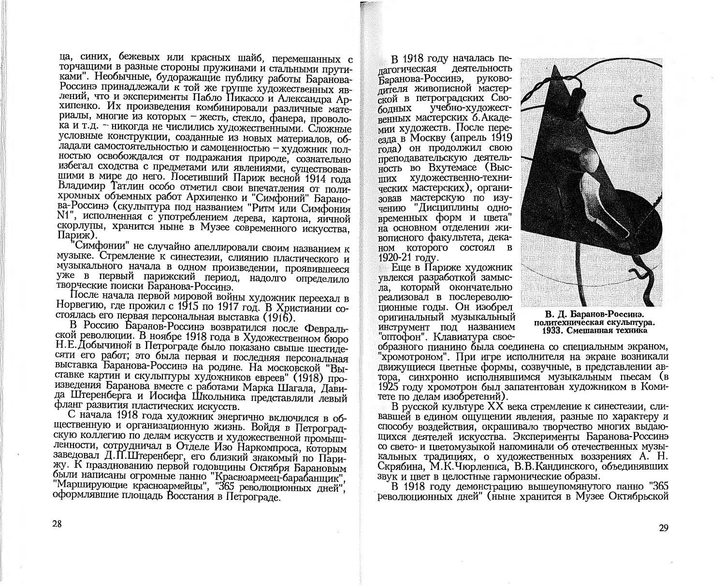ца, синих, бежевых или красных шайб, перемешанных с торчашими в разные стороны пружинами и стальными прутиками". Необычные, будоражащие публику работы Баранова-Россинэ принадлежали к той же группе художественных явлений, что и эксперименты Пабло Пикассо и Александра Архипенко. Их произведения комбинировали различные материалы, многие из которых - жесть, стекло, фанера, проволока и т.д. - никогда не числились художественными. Сложные условные конструкции, созданные из новых материалов, обладали самостоятельностью и самоценностью - художник полностью освобождался от подражания природе, сознательно избегал сходства с предметами или явлениями, существовавшими в мире до него. Посетивший Париж весной 1914 года Владимир Татлин особо отметил свои впечатления от полихромных объемных работ Архипенко и "Симфоний" Баранова-Россинэ (скульптура под названием "Ритм или Симфония N1", исполненная с употреблением дерева, картона, яичной скорлупы, хранится ныне в Музее современного искусства. Париж).

"Симфонии" не случайно апеллировали своим названием к музыке. Стремление к синестезии, слиянию пластического и музыкального начала в одном произведении, проявившееся уже в первый парижский период, надолго определило творческие поиски Баранова-Россинэ.

После начала первой мировой войны художник переехал в Норвегию, где прожил с 1915 по 1917 год. В Христиании состоялась его первая персональная выставка (1916).

В Россию Баранов-Россинэ возвратился после Февральской революции. В ноябре 1918 года в Художественном бюро Н.Е. Добычиной в Петрограде было показано свыше шестилесяти его работ; это была первая и последняя персональная выставка Баранова-Россинэ на родине. На московской "Выставке картин и скульптуры художников евреев" (1918) произведения Баранова вместе с работами Марка Шагала. Лавида Штеренберга и Иосифа Школьника представляли левый фланг развития пластических искусств.

С начала 1918 года художник энергично включился в общественную и организационную жизнь. Войдя в Петроградскую коллегию по делам искусств и художественной промышленности, сотрудничал в Отделе Изо Наркомпроса, которым заведовал Д.П.Штеренберг, его близкий знакомый по Парижу. К празднованию первой годовщины Октября Барановым были написаны огромные панно "Красноармеец-барабанщик". "Марширующие красноармейцы", "365 революционных дней", оформлявшие площадь Восстания в Петрограде.

В 1918 году началась пелагогическая деятельность Баранова-Россинэ, руковолителя живописной мастерской в петроградских Своучебно-художест**болных** венных мастерских б. Академии художеств. После пере- $_{\rm 193/7a \ B}$  Москву (апрель 1919 года) он продолжил свою преподавательскую деятельность во Вхутемасе (Высших художественно-технических мастерских), организовав мастерскую по изучению "Дисциплины одновременных форм и цвета" на основном отделении живописного факультета, дека-HOM KOTODOFO COCTOSJI B 1920-21 году.

Еще в Париже художник увлекся разработкой замысла, который окончательно реализовал в послереволюционные годы. Он изобрел оригинальный музыкальный инструмент под названием "оптофон". Клавиатура свое-



В. Д. Баранов-Россинэ. политехническая скульптура. 1933. Смешанная техника

образного пианино была соединена со специальным экраном. "хромотроном". При игре исполнителя на экране возникали движущиеся цветные формы, созвучные, в представлении автора, синхронно исполнявшимся музыкальным пьесам (в 1925 году хромотрон был запатентован художником в Комитете по делам изобретений).

В русской культуре XX века стремление к синестезии, сливавшей в едином ощущении явления, разные по характеру и способу воздействия, окрашивало творчество многих выдающихся деятелей искусства. Эксперименты Баранова-Россинэ со свето- и цветомузыкой напоминали об отечественных музыкальных традициях, о художественных воззрениях А. Н. Скрябина, М.К.Чюрлениса, В.В.Кандинского, объединявших звук и цвет в целостные гармонические образы.

В 1918 году демонстрацию вышеупомянутого панно "365 революционных дней" (ныне хранится в Музее Октябрьской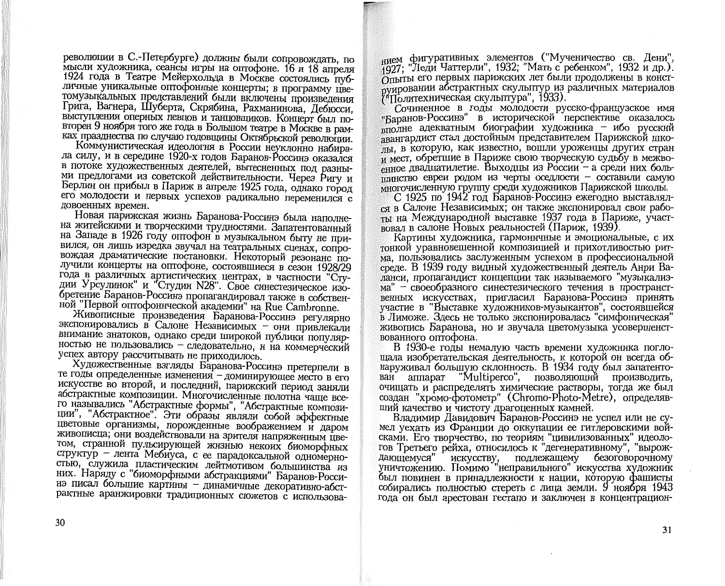революции в С.-Петербурге) должны были сопровождать, по мысли художника, сеансы игры на оптофоне. 16 и 18 апреля 1924 года в Театре Мейерхольда в Москве состоялись публичные уникальные оптофонные концерты; в программу цветомузыкальных представлений были включены произведения Грига, Вагнера, Шуберта, Скрябина, Рахманинова, Дебюсси, выступления оперных певцов и танцовщиков. Концерт был повторен 9 ноября того же года в Большом театре в Москве в рамках празднества по случаю годовщины Октябрьской революции.

Коммунистическая идеология в России неуклонно набирала силу, и в середине 1920-х годов Баранов-Россинэ оказался в потоке художественных деятелей, вытесненных под разными предлогами из советской действительности. Через Ригу и Берлин он прибыл в Париж в апреле 1925 года, однако город его молодости и первых успехов радикально переменился с довоенных времен.

Новая парижская жизнь Баранова-Россинэ была наполнена житейскими и творческими трудностями. Запатентованный на Западе в 1926 году оптофон в музыкальном быту не привился, он лишь изредка звучал на театральных сценах, сопровождая драматические постановки. Некоторый резонанс получили концерты на оптофоне, состоявшиеся в сезон 1928/29 года в различных артистических центрах, в частности "Студии Урсулинок" и "Студии N28". Свое синестезическое изобретение Баранов-Россинэ пропагандировал также в собственной "Первой оптофонической академии" на Rue Cambronne.

Живописные произведения Баранова-Россинэ регулярно экспонировались в Салоне Независимых - они привлекали внимание знатоков, однако среди широкой публики популярностью не пользовались - следовательно, и на коммерческий успех автору рассчитывать не приходилось.

Художественные взгляды Баранова-Россинэ претерпели в те годы определенные изменения - доминирующее место в его искусстве во второй, и последний, парижский период заняли абстрактные композиции. Многочисленные полотна чаще всего назывались "Абстрактные формы", "Абстрактные композиции", "Абстрактное". Эти образы являли собой эффектные цветовые организмы, порожденные воображением и даром живописца, они воздействовали на зрителя напряженным цветом, странной пульсирующей жизнью некоих биоморфных структур - лента Мебиуса, с ее парадоксальной одномерностью, служила пластическим лейтмотивом большинства из них. Наряду с "биоморфными абстракциями" Баранов-Россинэ писал большие картины - динамичные декоративно-абстрактные аранжировки традиционных сюжетов с использованием фигуративных элементов ("Мученичество св. Дени", 1927: "Леди Чаттерли", 1932; "Мать с ребенком", 1932 и др.). Отыты его первых парижских лет были продолжены в конструировании абстрактных скульптур из различных материалов<br><sup>7</sup> Политехническая скульптура", 1933).

Сочиненное в годы молодости русско-французское имя "Баранов-Россинэ" в исторической перспективе оказалось  $_{\text{pH}\cap\text{TH} }$ е адекватным биографии художника - ибо русский звангардист стал достойным представителем Парижской шкоты. в которую, как известно, вошли уроженцы других стран и мест, обретшие в Париже свою творческую судьбу в межво- $_{\rm PHHOE}$  лвалцатилетие. Выходны из России – а среди них больптинство евреи родом из черты оседлости - составили самую многочисленную группу среди художников Парижской школы.

С 1925 по 1942 год Баранов-Россинэ ежегодно выставлялся в Салоне Независимых; он также экспонировал свои работы на Международной выставке 1937 года в Париже, участвовал в салоне Новых реальностей (Париж, 1939).

Картины художника, гармоничные и эмоциональные, с их тонкой уравновешенной композицией и прихотливостью ритма, пользовались заслуженным успехом в профессиональной среде. В 1939 году видный художественный деятель Анри Валанси, пропагандист концепции так называемого "музыкализма" - своеобразного синестезического течения в пространственных искусствах, пригласил Баранова-Россинэ принять участие в "Выставке художников-музыкантов", состоявшейся в Лиможе. Здесь не только экспонировалась "симфоническая" живопись Баранова, но и звучала цветомузыка усовершенствованного оптофона.

В 1930-е годы немалую часть времени художника поглощала изобретательская деятельность, к которой он всегда обнаруживал большую склонность. В 1934 году был запатенто-"Multiperco", позволяющий производить, ван аппарат очищать и распределять химические растворы, тогда же был создан "хромо-фотометр" (Chromo-Photo-Metre), определявший качество и чистоту драгоценных камней.

Владимир Давидович Баранов-Россинэ не успел или не сумел уехать из Франции до оккупации ее гитлеровскими войсками. Его творчество, по теориям "цивилизованных" идеологов Третьего рейха, относилось к "дегенеративному", "вырожискусству, подлежащему безоговорочному дающемуся" уничтожению. Помимо "неправильного" искусства художник был повинен в принадлежности к нации, которую фашисты собирались полностью стереть с лица земли. 9 ноября 1943 года он был арестован гестапо и заключен в концентрацион